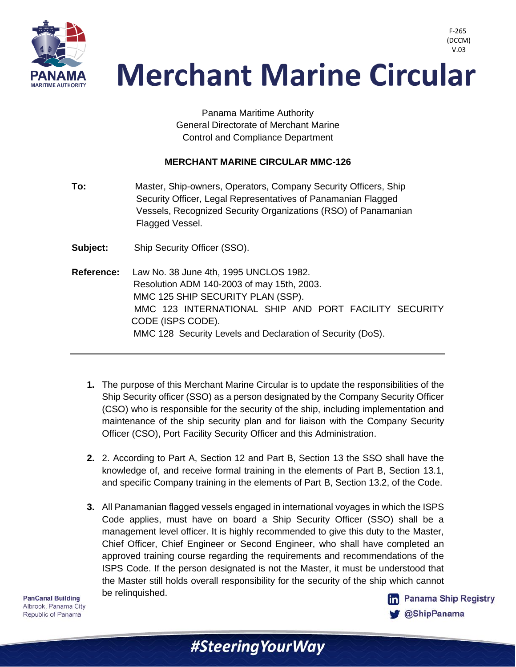

 V.03**Merchant Marine Circular** 

> Panama Maritime Authority General Directorate of Merchant Marine Control and Compliance Department

## **MERCHANT MARINE CIRCULAR MMC-126**

- **To:** Master, Ship-owners, Operators, Company Security Officers, Ship Security Officer, Legal Representatives of Panamanian Flagged Vessels, Recognized Security Organizations (RSO) of Panamanian Flagged Vessel.
- **Subject:** Ship Security Officer (SSO).
- **Reference:** Law No. 38 June 4th, 1995 UNCLOS 1982. Resolution ADM 140-2003 of may 15th, 2003. MMC 125 SHIP SECURITY PLAN (SSP). MMC 123 INTERNATIONAL SHIP AND PORT FACILITY SECURITY CODE (ISPS CODE). MMC 128 Security Levels and Declaration of Security (DoS).
	- **1.** The purpose of this Merchant Marine Circular is to update the responsibilities of the Ship Security officer (SSO) as a person designated by the Company Security Officer (CSO) who is responsible for the security of the ship, including implementation and maintenance of the ship security plan and for liaison with the Company Security Officer (CSO), Port Facility Security Officer and this Administration.
	- **2.** 2. According to Part A, Section 12 and Part B, Section 13 the SSO shall have the knowledge of, and receive formal training in the elements of Part B, Section 13.1, and specific Company training in the elements of Part B, Section 13.2, of the Code.
	- **3.** All Panamanian flagged vessels engaged in international voyages in which the ISPS Code applies, must have on board a Ship Security Officer (SSO) shall be a management level officer. It is highly recommended to give this duty to the Master, Chief Officer, Chief Engineer or Second Engineer, who shall have completed an approved training course regarding the requirements and recommendations of the ISPS Code. If the person designated is not the Master, it must be understood that the Master still holds overall responsibility for the security of the ship which cannot be relinquished.

**PanCanal Building** Albrook, Panama City Republic of Panama

F-265 (DCCM)